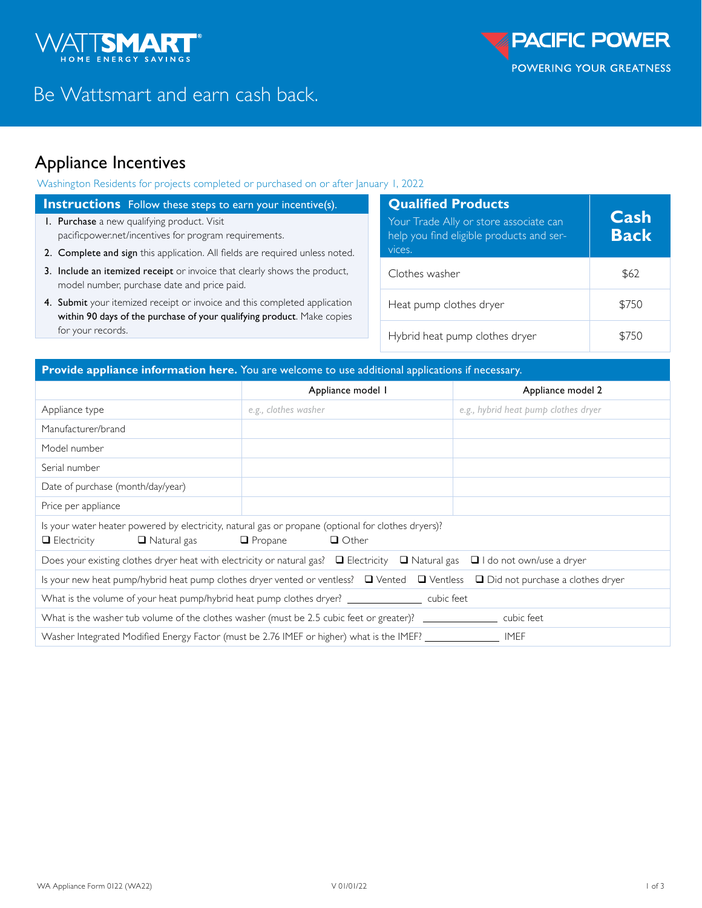

# Be Wattsmart and earn cash back.

## Appliance Incentives

Washington Residents for projects completed or purchased on or after January 1, 2022

### **Instructions** Follow these steps to earn your incentive(s).

- **1. Purchase** a new qualifying product. Visit [pacificpower.net/incentives](http://pacificpower.net/incentives) for program requirements.
- 2. Complete and sign this application. All fields are required unless noted.
- 3. Include an itemized receipt or invoice that clearly shows the product, model number, purchase date and price paid.
- 4. Submit your itemized receipt or invoice and this completed application within 90 days of the purchase of your qualifying product. Make copies for your records.

| <b>Qualified Products</b><br>Your Trade Ally or store associate can<br>help you find eligible products and ser-<br>vices. | Cash<br><b>Back</b> |
|---------------------------------------------------------------------------------------------------------------------------|---------------------|
| Clothes washer                                                                                                            | \$62                |
| Heat pump clothes dryer                                                                                                   | \$750               |
| Hybrid heat pump clothes dryer                                                                                            |                     |

### **Provide appliance information here.** You are welcome to use additional applications if necessary.

|                                                                                                                                                                                  | Appliance model I    | Appliance model 2                    |  |
|----------------------------------------------------------------------------------------------------------------------------------------------------------------------------------|----------------------|--------------------------------------|--|
| Appliance type                                                                                                                                                                   | e.g., clothes washer | e.g., hybrid heat pump clothes dryer |  |
| Manufacturer/brand                                                                                                                                                               |                      |                                      |  |
| Model number                                                                                                                                                                     |                      |                                      |  |
| Serial number                                                                                                                                                                    |                      |                                      |  |
| Date of purchase (month/day/year)                                                                                                                                                |                      |                                      |  |
| Price per appliance                                                                                                                                                              |                      |                                      |  |
| Is your water heater powered by electricity, natural gas or propane (optional for clothes dryers)?<br>$\Box$ Other<br>$\Box$ Natural gas<br>$\Box$ Electricity<br>$\Box$ Propane |                      |                                      |  |
| Does your existing clothes dryer heat with electricity or natural gas? $\Box$ Electricity $\Box$ Natural gas $\Box$ I do not own/use a dryer                                     |                      |                                      |  |
| Is your new heat pump/hybrid heat pump clothes dryer vented or ventless? $\Box$ Vented $\Box$ Ventless $\Box$ Did not purchase a clothes dryer                                   |                      |                                      |  |
| What is the volume of your heat pump/hybrid heat pump clothes dryer? _________________ cubic feet                                                                                |                      |                                      |  |
| What is the washer tub volume of the clothes washer (must be 2.5 cubic feet or greater)? ________________ cubic feet                                                             |                      |                                      |  |
| Washer Integrated Modified Energy Factor (must be 2.76 IMEF or higher) what is the IMEF? __________________ IMEF                                                                 |                      |                                      |  |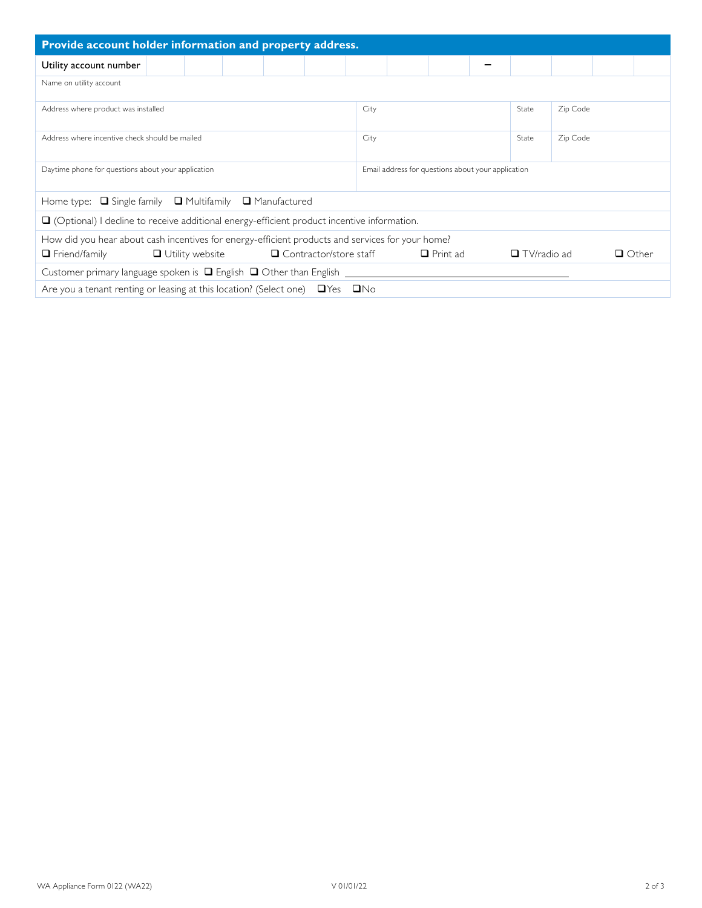| Provide account holder information and property address.                                          |                                                    |  |                    |          |              |  |
|---------------------------------------------------------------------------------------------------|----------------------------------------------------|--|--------------------|----------|--------------|--|
| Utility account number                                                                            |                                                    |  |                    |          |              |  |
| Name on utility account                                                                           |                                                    |  |                    |          |              |  |
| Address where product was installed                                                               | City                                               |  | State              | Zip Code |              |  |
| Address where incentive check should be mailed                                                    | City                                               |  | State              | Zip Code |              |  |
| Daytime phone for questions about your application                                                | Email address for questions about your application |  |                    |          |              |  |
| Home type: □ Single family □ Multifamily □ Manufactured                                           |                                                    |  |                    |          |              |  |
| $\Box$ (Optional) I decline to receive additional energy-efficient product incentive information. |                                                    |  |                    |          |              |  |
| How did you hear about cash incentives for energy-efficient products and services for your home?  |                                                    |  |                    |          |              |  |
| $\Box$ Utility website<br>$\Box$ Contractor/store staff $\Box$ Print ad<br>$\Box$ Friend/family   |                                                    |  | $\Box$ TV/radio ad |          | $\Box$ Other |  |
| Customer primary language spoken is $\Box$ English $\Box$ Other than English                      |                                                    |  |                    |          |              |  |
| Are you a tenant renting or leasing at this location? (Select one) $\Box$ Yes $\Box$ No           |                                                    |  |                    |          |              |  |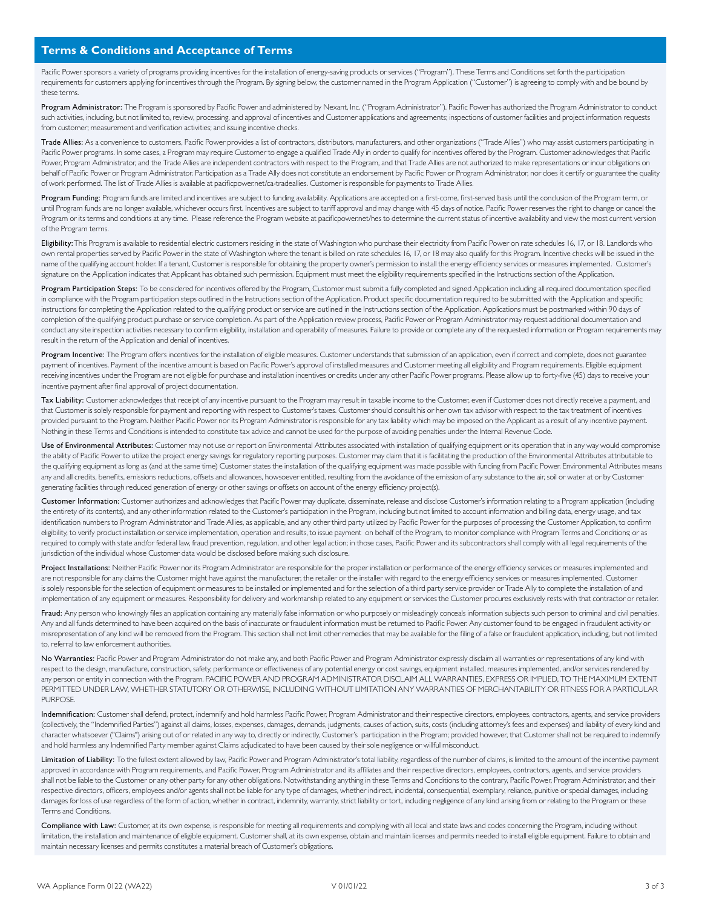#### **Terms & Conditions and Acceptance of Terms**

Pacific Power sponsors a variety of programs providing incentives for the installation of energy-saving products or services ("Program"). These Terms and Conditions set forth the participation requirements for customers applying for incentives through the Program. By signing below, the customer named in the Program Application ("Customer") is agreeing to comply with and be bound by these terms.

Program Administrator: The Program is sponsored by Pacific Power and administered by Nexant, Inc. ("Program Administrator"). Pacific Power has authorized the Program Administrator to conduct such activities, including, but not limited to, review, processing, and approval of incentives and Customer applications and agreements; inspections of customer facilities and project information requests from customer; measurement and verification activities; and issuing incentive checks.

Trade Allies: As a convenience to customers, Pacific Power provides a list of contractors, distributors, manufacturers, and other organizations ("Trade Allies") who may assist customers participating in Pacific Power programs. In some cases, a Program may require Customer to engage a qualified Trade Ally in order to qualify for incentives offered by the Program. Customer acknowledges that Pacific Power, Program Administrator, and the Trade Allies are independent contractors with respect to the Program, and that Trade Allies are not authorized to make representations or incur obligations on behalf of Pacific Power or Program Administrator. Participation as a Trade Ally does not constitute an endorsement by Pacific Power or Program Administrator, nor does it certify or guarantee the quality of work performed. The list of Trade Allies is available at pacificpower.net/ca-tradeallies. Customer is responsible for payments to Trade Allies.

Program Funding: Program funds are limited and incentives are subject to funding availability. Applications are accepted on a first-come, first-served basis until the conclusion of the Program term, or until Program funds are no longer available, whichever occurs first. Incentives are subject to tariff approval and may change with 45 days of notice. Pacific Power reserves the right to change or cancel the Program or its terms and conditions at any time. Please reference the Program website at pacificpower.net/hes to determine the current status of incentive availability and view the most current version of the Program terms.

Eligibility: This Program is available to residential electric customers residing in the state of Washington who purchase their electricity from Pacific Power on rate schedules 16, 17, or 18. Landlords who own rental properties served by Pacific Power in the state of Washington where the tenant is billed on rate schedules 16, 17, or 18 may also qualify for this Program. Incentive checks will be issued in the name of the qualifying account holder. If a tenant, Customer is responsible for obtaining the property owner's permission to install the energy efficiency services or measures implemented. Customer's signature on the Application indicates that Applicant has obtained such permission. Equipment must meet the eligibility requirements specified in the Instructions section of the Application.

Program Participation Steps: To be considered for incentives offered by the Program, Customer must submit a fully completed and signed Application including all required documentation specified in compliance with the Program participation steps outlined in the Instructions section of the Application. Product specific documentation required to be submitted with the Application and specific instructions for completing the Application related to the qualifying product or service are outlined in the Instructions section of the Application. Applications must be postmarked within 90 days of completion of the qualifying product purchase or service completion. As part of the Application review process, Pacific Power or Program Administrator may request additional documentation and conduct any site inspection activities necessary to confirm eligibility, installation and operability of measures. Failure to provide or complete any of the requested information or Program requirements may result in the return of the Application and denial of incentives.

Program Incentive: The Program offers incentives for the installation of eligible measures. Customer understands that submission of an application, even if correct and complete, does not guarantee payment of incentives. Payment of the incentive amount is based on Pacific Power's approval of installed measures and Customer meeting all eligibility and Program requirements. Eligible equipment receiving incentives under the Program are not eligible for purchase and installation incentives or credits under any other Pacific Power programs. Please allow up to forty-five (45) days to receive your incentive payment after final approval of project documentation.

Tax Liability: Customer acknowledges that receipt of any incentive pursuant to the Program may result in taxable income to the Customer, even if Customer does not directly receive a payment, and that Customer is solely responsible for payment and reporting with respect to Customer's taxes. Customer should consult his or her own tax advisor with respect to the tax treatment of incentives provided pursuant to the Program. Neither Pacific Power nor its Program Administrator is responsible for any tax liability which may be imposed on the Applicant as a result of any incentive payment. Nothing in these Terms and Conditions is intended to constitute tax advice and cannot be used for the purpose of avoiding penalties under the Internal Revenue Code.

Use of Environmental Attributes: Customer may not use or report on Environmental Attributes associated with installation of qualifying equipment or its operation that in any way would compromise the ability of Pacific Power to utilize the project energy savings for regulatory reporting purposes. Customer may claim that it is facilitating the production of the Environmental Attributes attributable to the qualifying equipment as long as (and at the same time) Customer states the installation of the qualifying equipment was made possible with funding from Pacific Power. Environmental Attributes means any and all credits, benefits, emissions reductions, offsets and allowances, howsoever entitled, resulting from the avoidance of the emission of any substance to the air, soil or water at or by Customer generating facilities through reduced generation of energy or other savings or offsets on account of the energy efficiency project(s).

Customer Information: Customer authorizes and acknowledges that Pacific Power may duplicate, disseminate, release and disclose Customer's information relating to a Program application (including the entirety of its contents), and any other information related to the Customer's participation in the Program, including but not limited to account information and billing data, energy usage, and tax identification numbers to Program Administrator and Trade Allies, as applicable, and any other third party utilized by Pacific Power for the purposes of processing the Customer Application, to confirm eligibility, to verify product installation or service implementation, operation and results, to issue payment on behalf of the Program, to monitor compliance with Program Terms and Conditions; or as required to comply with state and/or federal law, fraud prevention, regulation, and other legal action; in those cases, Pacific Power and its subcontractors shall comply with all legal requirements of the jurisdiction of the individual whose Customer data would be disclosed before making such disclosure.

Project Installations: Neither Pacific Power nor its Program Administrator are responsible for the proper installation or performance of the energy efficiency services or measures implemented and are not responsible for any claims the Customer might have against the manufacturer, the retailer or the installer with regard to the energy efficiency services or measures implemented. Customer is solely responsible for the selection of equipment or measures to be installed or implemented and for the selection of a third party service provider or Trade Ally to complete the installation of and implementation of any equipment or measures. Responsibility for delivery and workmanship related to any equipment or services the Customer procures exclusively rests with that contractor or retailer.

Fraud: Any person who knowingly files an application containing any materially false information or who purposely or misleadingly conceals information subjects such person to criminal and civil penalties. Any and all funds determined to have been acquired on the basis of inaccurate or fraudulent information must be returned to Pacific Power. Any customer found to be engaged in fraudulent activity or misrepresentation of any kind will be removed from the Program. This section shall not limit other remedies that may be available for the filing of a false or fraudulent application, including, but not limited to, referral to law enforcement authorities.

No Warranties: Pacific Power and Program Administrator do not make any, and both Pacific Power and Program Administrator expressly disclaim all warranties or representations of any kind with respect to the design, manufacture, construction, safety, performance or effectiveness of any potential energy or cost savings, equipment installed, measures implemented, and/or services rendered by any person or entity in connection with the Program. PACIFIC POWER AND PROGRAM ADMINISTRATOR DISCLAIM ALL WARRANTIES, EXPRESS OR IMPLIED, TO THE MAXIMUM EXTENT PERMITTED UNDER LAW, WHETHER STATUTORY OR OTHERWISE, INCLUDING WITHOUT LIMITATION ANY WARRANTIES OF MERCHANTABILITY OR FITNESS FOR A PARTICULAR PURPOSE

Indemnification: Customer shall defend, protect, indemnify and hold harmless Pacific Power, Program Administrator and their respective directors, employees, contractors, agents, and service providers (collectively, the "Indemnified Parties") against all claims, losses, expenses, damages, demands, judgments, causes of action, suits, costs (including attorney's fees and expenses) and liability of every kind and character whatsoever ("Claims") arising out of or related in any way to, directly or indirectly, Customer's participation in the Program; provided however, that Customer shall not be required to indemnify and hold harmless any Indemnified Party member against Claims adjudicated to have been caused by their sole negligence or willful misconduct.

Limitation of Liability: To the fullest extent allowed by law, Pacific Power and Program Administrator's total liability, regardless of the number of claims, is limited to the amount of the incentive payment approved in accordance with Program requirements, and Pacific Power, Program Administrator and its affiliates and their respective directors, employees, contractors, agents, and service providers shall not be liable to the Customer or any other party for any other obligations. Notwithstanding anything in these Terms and Conditions to the contrary, Pacific Power, Program Administrator, and their respective directors, officers, employees and/or agents shall not be liable for any type of damages, whether indirect, incidental, consequential, exemplary, reliance, punitive or special damages, including damages for loss of use regardless of the form of action, whether in contract, indemnity, warranty, strict liability or tort, including negligence of any kind arising from or relating to the Program or these Terms and Conditions.

Compliance with Law: Customer, at its own expense, is responsible for meeting all requirements and complying with all local and state laws and codes concerning the Program, including without limitation, the installation and maintenance of eligible equipment. Customer shall, at its own expense, obtain and maintain licenses and permits needed to install eligible equipment. Failure to obtain and maintain necessary licenses and permits constitutes a material breach of Customer's obligations.